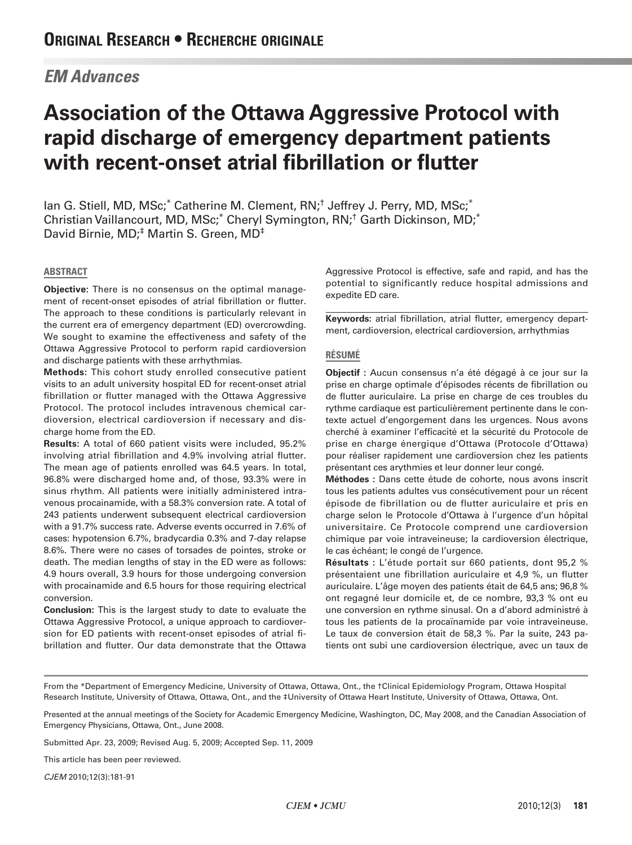## *EM Advances*

# **Association of the Ottawa Aggressive Protocol with rapid discharge of emergency department patients with recent-onset atrial fibrillation or flutter**

lan G. Stiell, MD, MSc;<sup>\*</sup> Catherine M. Clement, RN;<sup>†</sup> Jeffrey J. Perry, MD, MSc;<sup>\*</sup> Christian Vaillancourt, MD, MSc; $^*$  Cheryl Symington, RN; $^\dagger$  Garth Dickinson, MD; $^*$ David Birnie, MD; ‡ Martin S. Green, MD‡

#### **ABSTRACT**

**Objective:** There is no consensus on the optimal management of recent-onset episodes of atrial fibrillation or flutter. The approach to these conditions is particularly relevant in the current era of emergency department (ED) overcrowding. We sought to examine the effectiveness and safety of the Ottawa Aggressive Protocol to perform rapid cardioversion and discharge patients with these arrhythmias.

**Methods:** This cohort study enrolled consecutive patient visits to an adult university hospital ED for recent-onset atrial fibrillation or flutter managed with the Ottawa Aggressive Protocol. The protocol includes intravenous chemical cardioversion, electrical cardioversion if necessary and discharge home from the ED.

**Results:** A total of 660 patient visits were included, 95.2% involving atrial fibrillation and 4.9% involving atrial flutter. The mean age of patients enrolled was 64.5 years. In total, 96.8% were discharged home and, of those, 93.3% were in sinus rhythm. All patients were initially administered intravenous procainamide, with a 58.3% conversion rate. A total of 243 patients underwent subsequent electrical cardioversion with a 91.7% success rate. Adverse events occurred in 7.6% of cases: hypotension 6.7%, bradycardia 0.3% and 7-day relapse 8.6%. There were no cases of torsades de pointes, stroke or death. The median lengths of stay in the ED were as follows: 4.9 hours overall, 3.9 hours for those undergoing conversion with procainamide and 6.5 hours for those requiring electrical conversion.

**Conclusion:** This is the largest study to date to evaluate the Ottawa Aggressive Protocol, a unique approach to cardioversion for ED patients with recent-onset episodes of atrial fibrillation and flutter. Our data demonstrate that the Ottawa Aggressive Protocol is effective, safe and rapid, and has the potential to significantly reduce hospital admissions and expedite ED care.

**Keywords:** atrial fibrillation, atrial flutter, emergency department, cardioversion, electrical cardioversion, arrhythmias

#### **RÉSUMÉ**

**Objectif :** Aucun consensus n'a été dégagé à ce jour sur la prise en charge optimale d'épisodes récents de fibrillation ou de flutter auriculaire. La prise en charge de ces troubles du rythme cardiaque est particulièrement pertinente dans le contexte actuel d'engorgement dans les urgences. Nous avons cherché à examiner l'efficacité et la sécurité du Protocole de prise en charge énergique d'Ottawa (Protocole d'Ottawa) pour réaliser rapidement une cardioversion chez les patients présentant ces arythmies et leur donner leur congé.

**Méthodes :** Dans cette étude de cohorte, nous avons inscrit tous les patients adultes vus consécutivement pour un récent épisode de fibrillation ou de flutter auriculaire et pris en charge selon le Protocole d'Ottawa à l'urgence d'un hôpital universitaire. Ce Protocole comprend une cardioversion chimique par voie intraveineuse; la cardioversion électrique, le cas échéant; le congé de l'urgence.

**Résultats :** L'étude portait sur 660 patients, dont 95,2 % présentaient une fibrillation auriculaire et 4,9 %, un flutter auriculaire. L'âge moyen des patients était de 64,5 ans; 96,8 % ont regagné leur domicile et, de ce nombre, 93,3 % ont eu une conversion en rythme sinusal. On a d'abord administré à tous les patients de la procaïnamide par voie intraveineuse. Le taux de conversion était de 58,3 %. Par la suite, 243 patients ont subi une cardioversion électrique, avec un taux de

This article has been peer reviewed.

*CJEM* 2010;12(3):181-91

From the \*Department of Emergency Medicine, University of Ottawa, Ottawa, Ont., the †Clinical Epidemiology Program, Ottawa Hospital Research Institute, University of Ottawa, Ottawa, Ont., and the ‡University of Ottawa Heart Institute, University of Ottawa, Ottawa, Ont.

Presented at the annual meetings of the Society for Academic Emergency Medicine, Washington, DC, May 2008, and the Canadian Association of Emergency Physicians, Ottawa, Ont., June 2008.

Submitted Apr. 23, 2009; Revised Aug. 5, 2009; Accepted Sep. 11, 2009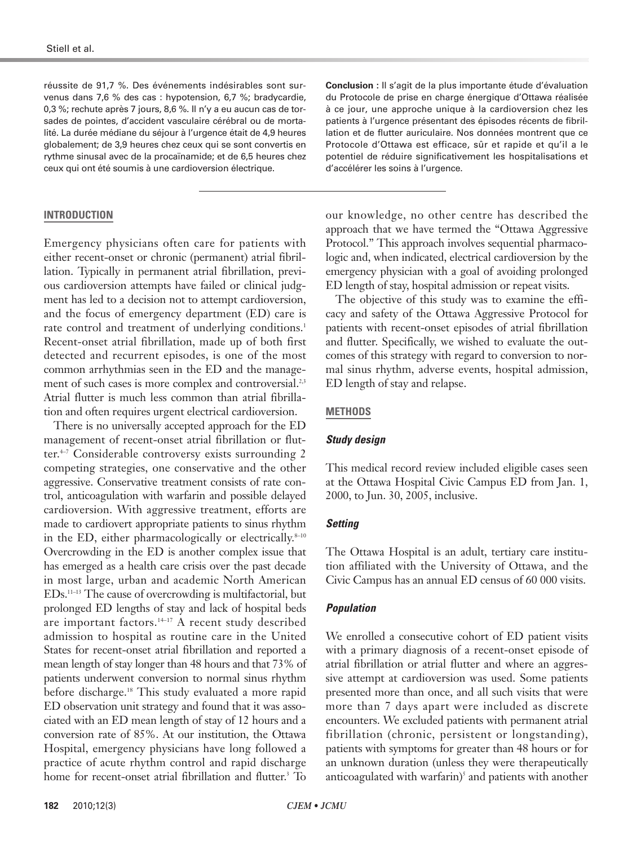réussite de 91,7 %. Des événements indésirables sont survenus dans 7,6 % des cas : hypotension, 6,7 %; bradycardie, 0,3 %; rechute après 7 jours, 8,6 %. Il n'y a eu aucun cas de torsades de pointes, d'accident vasculaire cérébral ou de mortalité. La durée médiane du séjour à l'urgence était de 4,9 heures globalement; de 3,9 heures chez ceux qui se sont convertis en rythme sinusal avec de la procaïnamide; et de 6,5 heures chez ceux qui ont été soumis à une cardioversion électrique.

#### **INTRODUCTION**

Emergency physicians often care for patients with either recent-onset or chronic (permanent) atrial fibrillation. Typically in permanent atrial fibrillation, previous cardioversion attempts have failed or clinical judgment has led to a decision not to attempt cardioversion, and the focus of emergency department (ED) care is rate control and treatment of underlying conditions. 1 Recent-onset atrial fibrillation, made up of both first detected and recurrent episodes, is one of the most common arrhythmias seen in the ED and the management of such cases is more complex and controversial.<sup>2,3</sup> Atrial flutter is much less common than atrial fibrillation and often requires urgent electrical cardioversion.

There is no universally accepted approach for the ED management of recent-onset atrial fibrillation or flutter. 4–7 Considerable controversy exists surrounding 2 competing strategies, one conservative and the other aggressive. Conservative treatment consists of rate control, anticoagulation with warfarin and possible delayed cardioversion. With aggressive treatment, efforts are made to cardiovert appropriate patients to sinus rhythm in the ED, either pharmacologically or electrically. 8–10 Overcrowding in the ED is another complex issue that has emerged as a health care crisis over the past decade in most large, urban and academic North American EDs. 11–13 The cause of overcrowding is multifactorial, but prolonged ED lengths of stay and lack of hospital beds are important factors. 14–17 A recent study described admission to hospital as routine care in the United States for recent-onset atrial fibrillation and reported a mean length of stay longer than 48 hours and that 73% of patients underwent conversion to normal sinus rhythm before discharge. <sup>18</sup> This study evaluated a more rapid ED observation unit strategy and found that it was associated with an ED mean length of stay of 12 hours and a conversion rate of 85%. At our institution, the Ottawa Hospital, emergency physicians have long followed a practice of acute rhythm control and rapid discharge home for recent-onset atrial fibrillation and flutter. <sup>3</sup> To

**Conclusion :** Il s'agit de la plus importante étude d'évaluation du Protocole de prise en charge énergique d'Ottawa réalisée à ce jour, une approche unique à la cardioversion chez les patients à l'urgence présentant des épisodes récents de fibrillation et de flutter auriculaire. Nos données montrent que ce Protocole d'Ottawa est efficace, sûr et rapide et qu'il a le potentiel de réduire significativement les hospitalisations et d'accélérer les soins à l'urgence.

our knowledge, no other centre has described the approach that we have termed the "Ottawa Aggressive Protocol." This approach involves sequential pharmacologic and, when indicated, electrical cardioversion by the emergency physician with a goal of avoiding prolonged ED length of stay, hospital admission or repeat visits.

The objective of this study was to examine the efficacy and safety of the Ottawa Aggressive Protocol for patients with recent-onset episodes of atrial fibrillation and flutter. Specifically, we wished to evaluate the outcomes of this strategy with regard to conversion to normal sinus rhythm, adverse events, hospital admission, ED length of stay and relapse.

#### **METHODS**

#### *Study design*

This medical record review included eligible cases seen at the Ottawa Hospital Civic Campus ED from Jan. 1, 2000, to Jun. 30, 2005, inclusive.

#### *Setting*

The Ottawa Hospital is an adult, tertiary care institution affiliated with the University of Ottawa, and the Civic Campus has an annual ED census of 60 000 visits.

#### *Population*

We enrolled a consecutive cohort of ED patient visits with a primary diagnosis of a recent-onset episode of atrial fibrillation or atrial flutter and where an aggressive attempt at cardioversion was used. Some patients presented more than once, and all such visits that were more than 7 days apart were included as discrete encounters. We excluded patients with permanent atrial fibrillation (chronic, persistent or longstanding), patients with symptoms for greater than 48 hours or for an unknown duration (unless they were therapeutically anticoagulated with warfarin) <sup>5</sup> and patients with another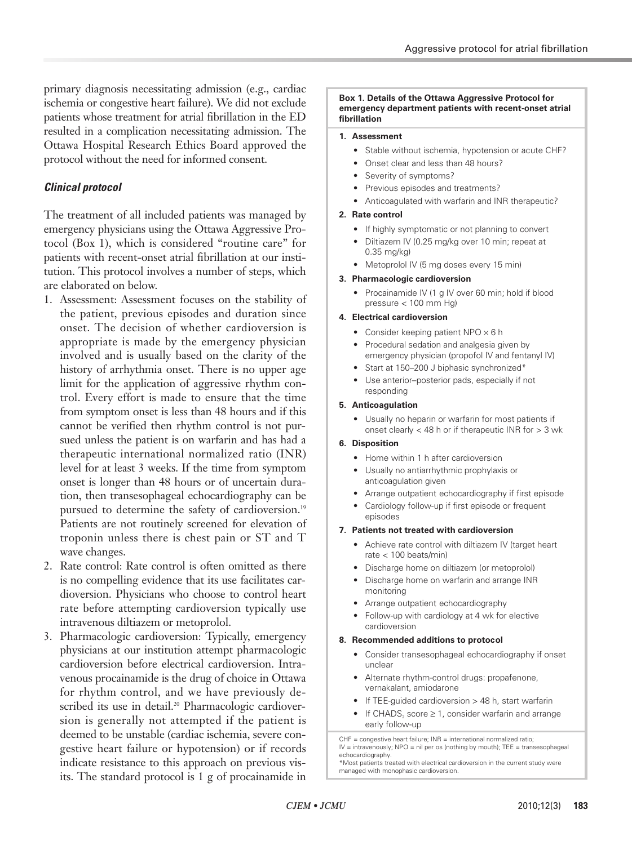primary diagnosis necessitating admission (e.g., cardiac ischemia or congestive heart failure). We did not exclude patients whose treatment for atrial fibrillation in the ED resulted in a complication necessitating admission. The Ottawa Hospital Research Ethics Board approved the protocol without the need for informed consent.

## *Clinical protocol*

The treatment of all included patients was managed by emergency physicians using the Ottawa Aggressive Protocol (Box 1), which is considered "routine care" for patients with recent-onset atrial fibrillation at our institution. This protocol involves a number of steps, which are elaborated on below.

- 1. Assessment: Assessment focuses on the stability of the patient, previous episodes and duration since onset. The decision of whether cardioversion is appropriate is made by the emergency physician involved and is usually based on the clarity of the history of arrhythmia onset. There is no upper age limit for the application of aggressive rhythm control. Every effort is made to ensure that the time from symptom onset is less than 48 hours and if this cannot be verified then rhythm control is not pursued unless the patient is on warfarin and has had a therapeutic international normalized ratio (INR) level for at least 3 weeks. If the time from symptom onset is longer than 48 hours or of uncertain duration, then transesophageal echocardiography can be pursued to determine the safety of cardioversion. 19 Patients are not routinely screened for elevation of troponin unless there is chest pain or ST and T wave changes.
- 2. Rate control: Rate control is often omitted as there is no compelling evidence that its use facilitates cardioversion. Physicians who choose to control heart rate before attempting cardioversion typically use intravenous diltiazem or metoprolol.
- 3. Pharmacologic cardioversion: Typically, emergency physicians at our institution attempt pharmacologic cardioversion before electrical cardioversion. Intravenous procainamide is the drug of choice in Ottawa for rhythm control, and we have previously described its use in detail. <sup>20</sup> Pharmacologic cardioversion is generally not attempted if the patient is deemed to be unstable (cardiac ischemia, severe congestive heart failure or hypotension) or if records indicate resistance to this approach on previous visits. The standard protocol is 1 g of procainamide in

#### **Box 1. Details of the Ottawa Aggressive Protocol for emergency department patients with recent-onset atrial fibrillation**

#### **1. Assessment**

- Stable without ischemia, hypotension or acute CHF?
- Onset clear and less than 48 hours?
- Severity of symptoms?
- Previous episodes and treatments?
- Anticoagulated with warfarin and INR therapeutic?

#### **2. Rate control**

- If highly symptomatic or not planning to convert
- Diltiazem IV (0.25 mg/kg over 10 min; repeat at 0.35 mg/kg)
- Metoprolol IV (5 mg doses every 15 min)

#### **3. Pharmacologic cardioversion**

• Procainamide IV (1 g IV over 60 min; hold if blood pressure < 100 mm Hg)

#### **4. Electrical cardioversion**

- Consider keeping patient NPO  $\times$  6 h
- Procedural sedation and analgesia given by emergency physician (propofol IV and fentanyl IV)
- Start at 150–200 J biphasic synchronized\*
- Use anterior–posterior pads, especially if not responding

#### **5. Anticoagulation**

• Usually no heparin or warfarin for most patients if onset clearly  $<$  48 h or if therapeutic INR for  $>$  3 wk

#### **6. Disposition**

- Home within 1 h after cardioversion
- Usually no antiarrhythmic prophylaxis or anticoagulation given
- Arrange outpatient echocardiography if first episode
- Cardiology follow-up if first episode or frequent episodes

#### **7. Patients not treated with cardioversion**

- Achieve rate control with diltiazem IV (target heart rate < 100 beats/min)
- Discharge home on diltiazem (or metoprolol)
- Discharge home on warfarin and arrange INR monitoring
- Arrange outpatient echocardiography
- Follow-up with cardiology at 4 wk for elective cardioversion

#### **8. Recommended additions to protocol**

- Consider transesophageal echocardiography if onset unclear
- Alternate rhythm-control drugs: propafenone, vernakalant, amiodarone
- If TEE-quided cardioversion > 48 h, start warfarin
- If CHADS, score  $\geq 1$ , consider warfarin and arrange early follow-up

CHF = congestive heart failure; INR = international normalized ratio; IV = intravenously; NPO = nil per os (nothing by mouth); TEE = transesophageal echocardiography.

\*Most patients treated with electrical cardioversion in the current study were managed with monophasic cardioversion.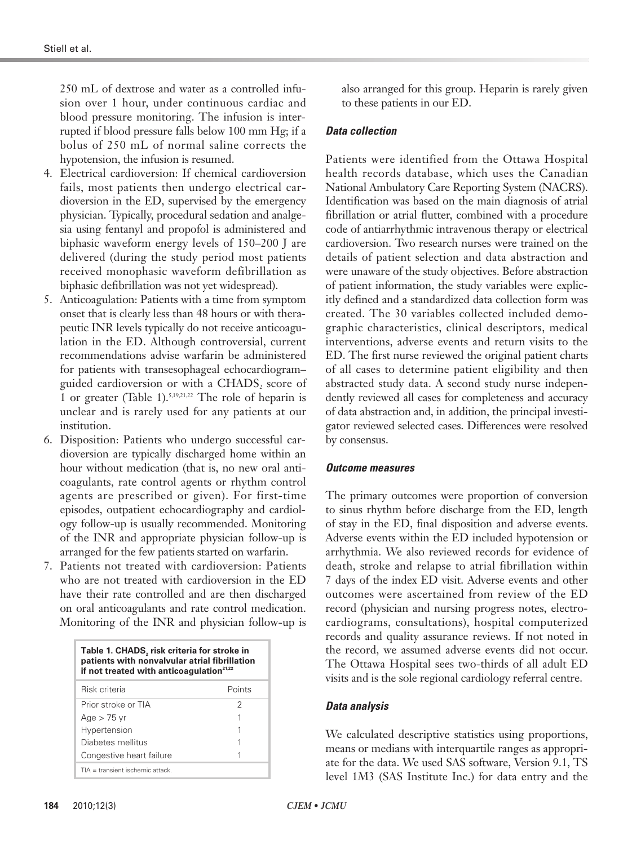250 mL of dextrose and water as a controlled infusion over 1 hour, under continuous cardiac and blood pressure monitoring. The infusion is interrupted if blood pressure falls below 100 mm Hg; if a bolus of 250 mL of normal saline corrects the hypotension, the infusion is resumed.

- 4. Electrical cardioversion: If chemical cardioversion fails, most patients then undergo electrical cardioversion in the ED, supervised by the emergency physician. Typically, procedural sedation and analgesia using fentanyl and propofol is administered and biphasic waveform energy levels of 150–200 J are delivered (during the study period most patients received monophasic waveform defibrillation as biphasic defibrillation was not yet widespread).
- 5. Anticoagulation: Patients with a time from symptom onset that is clearly less than 48 hours or with therapeutic INR levels typically do not receive anticoagulation in the ED. Although controversial, current recommendations advise warfarin be administered for patients with transesophageal echocardiogram– guided cardioversion or with a  $\text{CHADS}_2$  score of 1 or greater (Table 1). 5,19,21,22 The role of heparin is unclear and is rarely used for any patients at our institution.
- 6. Disposition: Patients who undergo successful cardioversion are typically discharged home within an hour without medication (that is, no new oral anticoagulants, rate control agents or rhythm control agents are prescribed or given). For first-time episodes, outpatient echocardiography and cardiology follow-up is usually recommended. Monitoring of the INR and appropriate physician follow-up is arranged for the few patients started on warfarin.
- 7. Patients not treated with cardioversion: Patients who are not treated with cardioversion in the ED have their rate controlled and are then discharged on oral anticoagulants and rate control medication. Monitoring of the INR and physician follow-up is

| Table 1. CHADS, risk criteria for stroke in<br>patients with nonvalvular atrial fibrillation<br>if not treated with anticoagulation <sup>21,22</sup> |        |  |  |
|------------------------------------------------------------------------------------------------------------------------------------------------------|--------|--|--|
| Risk criteria                                                                                                                                        | Points |  |  |
| Prior stroke or TIA                                                                                                                                  | 2      |  |  |
| $Age > 75$ yr                                                                                                                                        |        |  |  |
| Hypertension                                                                                                                                         | 1      |  |  |
| Diabetes mellitus                                                                                                                                    | 1      |  |  |
| Congestive heart failure                                                                                                                             |        |  |  |
| $TIA =$ transient ischemic attack                                                                                                                    |        |  |  |

also arranged for this group. Heparin is rarely given to these patients in our ED.

## *Data collection*

Patients were identified from the Ottawa Hospital health records database, which uses the Canadian National Ambulatory Care Reporting System (NACRS). Identification was based on the main diagnosis of atrial fibrillation or atrial flutter, combined with a procedure code of antiarrhythmic intravenous therapy or electrical cardioversion. Two research nurses were trained on the details of patient selection and data abstraction and were unaware of the study objectives. Before abstraction of patient information, the study variables were explicitly defined and a standardized data collection form was created. The 30 variables collected included demographic characteristics, clinical descriptors, medical interventions, adverse events and return visits to the ED. The first nurse reviewed the original patient charts of all cases to determine patient eligibility and then abstracted study data. A second study nurse independently reviewed all cases for completeness and accuracy of data abstraction and, in addition, the principal investigator reviewed selected cases. Differences were resolved by consensus.

## *Outcome measures*

The primary outcomes were proportion of conversion to sinus rhythm before discharge from the ED, length of stay in the ED, final disposition and adverse events. Adverse events within the ED included hypotension or arrhythmia. We also reviewed records for evidence of death, stroke and relapse to atrial fibrillation within 7 days of the index ED visit. Adverse events and other outcomes were ascertained from review of the ED record (physician and nursing progress notes, electrocardiograms, consultations), hospital computerized records and quality assurance reviews. If not noted in the record, we assumed adverse events did not occur. The Ottawa Hospital sees two-thirds of all adult ED visits and is the sole regional cardiology referral centre.

## *Data analysis*

We calculated descriptive statistics using proportions, means or medians with interquartile ranges as appropriate for the data. We used SAS software, Version 9.1, TS level 1M3 (SAS Institute Inc.) for data entry and the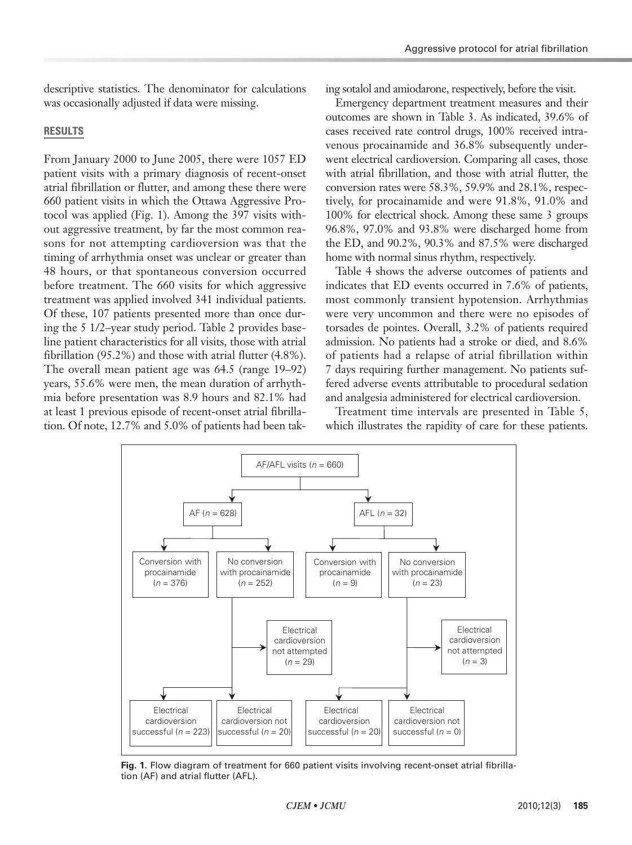descriptive statistics. The denominator for calculations was occasionally adjusted if data were missing.

#### **RESULTS**

From January 2000 to June 2005, there were 1057 ED patient visits with a primary diagnosis of recent-onset atrial fibrillation or flutter, and among these there were 660 patient visits in which the Ottawa Aggressive Protocol was applied (Fig. 1). Among the 397 visits without aggressive treatment, by far the most common reasons for not attempting cardioversion was that the timing of arrhythmia onset was unclear or greater than 48 hours, or that spontaneous conversion occurred before treatment. The 660 visits for which aggressive treatment was applied involved 341 individual patients. Of these, 107 patients presented more than once during the 5 1/2–year study period. Table 2 provides baseline patient characteristics for all visits, those with atrial fibrillation (95.2%) and those with atrial flutter (4.8%). The overall mean patient age was 64.5 (range 19–92) years, 55.6% were men, the mean duration of arrhythmia before presentation was 8.9 hours and 82.1% had at least 1 previous episode of recent-onset atrial fibrillation. Of note, 12.7% and 5.0% of patients had been taking sotalol and amiodarone, respectively, before the visit.

Emergency department treatment measures and their outcomes are shown in Table 3. As indicated, 39.6% of cases received rate control drugs, 100% received intravenous procainamide and 36.8% subsequently underwent electrical cardioversion. Comparing all cases, those with atrial fibrillation, and those with atrial flutter, the conversion rates were 58.3%, 59.9% and 28.1%, respectively, for procainamide and were 91.8%, 91.0% and 100% for electrical shock. Among these same 3 groups 96.8%, 97.0% and 93.8% were discharged home from the ED, and 90.2%, 90.3% and 87.5% were discharged home with normal sinus rhythm, respectively.

Table 4 shows the adverse outcomes of patients and indicates that ED events occurred in 7.6% of patients, most commonly transient hypotension. Arrhythmias were very uncommon and there were no episodes of torsades de pointes. Overall, 3.2% of patients required admission. No patients had a stroke or died, and 8.6% of patients had a relapse of atrial fibrillation within 7 days requiring further management. No patients suffered adverse events attributable to procedural sedation and analgesia administered for electrical cardioversion.

Treatment time intervals are presented in Table 5, which illustrates the rapidity of care for these patients.



**Fig. 1.** Flow diagram of treatment for 660 patient visits involving recent-onset atrial fibrillation (AF) and atrial flutter (AFL).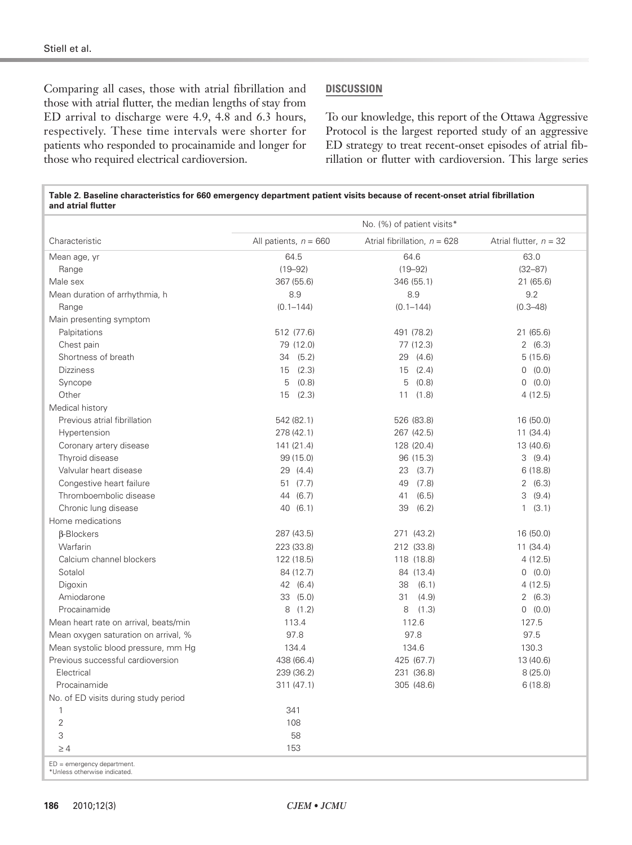Comparing all cases, those with atrial fibrillation and those with atrial flutter, the median lengths of stay from ED arrival to discharge were 4.9, 4.8 and 6.3 hours, respectively. These time intervals were shorter for patients who responded to procainamide and longer for those who required electrical cardioversion.

#### **DISCUSSION**

To our knowledge, this report of the Ottawa Aggressive Protocol is the largest reported study of an aggressive ED strategy to treat recent-onset episodes of atrial fibrillation or flutter with cardioversion. This large series

ı

| Table 2. Baseline characteristics for 660 emergency department patient visits because of recent-onset atrial fibrillation<br>and atrial flutter |                            |                                |                          |  |
|-------------------------------------------------------------------------------------------------------------------------------------------------|----------------------------|--------------------------------|--------------------------|--|
|                                                                                                                                                 | No. (%) of patient visits* |                                |                          |  |
| Characteristic                                                                                                                                  | All patients, $n = 660$    | Atrial fibrillation, $n = 628$ | Atrial flutter, $n = 32$ |  |
| Mean age, yr                                                                                                                                    | 64.5                       | 64.6                           | 63.0                     |  |
| Range                                                                                                                                           | $(19 - 92)$                | $(19 - 92)$                    | $(32 - 87)$              |  |
| Male sex                                                                                                                                        | 367 (55.6)                 | 346 (55.1)                     | 21(65.6)                 |  |
| Mean duration of arrhythmia, h                                                                                                                  | 8.9                        | 8.9                            | 9.2                      |  |
| Range                                                                                                                                           | $(0.1 - 144)$              | $(0.1 - 144)$                  | $(0.3 - 48)$             |  |
| Main presenting symptom                                                                                                                         |                            |                                |                          |  |
| Palpitations                                                                                                                                    | 512 (77.6)                 | 491 (78.2)                     | 21(65.6)                 |  |
| Chest pain                                                                                                                                      | 79 (12.0)                  | 77 (12.3)                      | 2(6.3)                   |  |
| Shortness of breath                                                                                                                             | 34(5.2)                    | 29 (4.6)                       | 5(15.6)                  |  |
| <b>Dizziness</b>                                                                                                                                | 15(2.3)                    | 15(2.4)                        | 0(0.0)                   |  |
| Syncope                                                                                                                                         | 5<br>(0.8)                 | (0.8)<br>5                     | 0(0.0)                   |  |
| Other                                                                                                                                           | 15(2.3)                    | 11(1.8)                        | 4(12.5)                  |  |
| Medical history                                                                                                                                 |                            |                                |                          |  |
| Previous atrial fibrillation                                                                                                                    | 542 (82.1)                 | 526 (83.8)                     | 16 (50.0)                |  |
| Hypertension                                                                                                                                    | 278 (42.1)                 | 267 (42.5)                     | 11(34.4)                 |  |
| Coronary artery disease                                                                                                                         | 141(21.4)                  | 128 (20.4)                     | 13 (40.6)                |  |
| Thyroid disease                                                                                                                                 | 99 (15.0)                  | 96 (15.3)                      | 3(9.4)                   |  |
| Valvular heart disease                                                                                                                          | 29 (4.4)                   | 23(3.7)                        | 6(18.8)                  |  |
| Congestive heart failure                                                                                                                        | 51(7.7)                    | 49 (7.8)                       | 2(6.3)                   |  |
| Thromboembolic disease                                                                                                                          | 44 (6.7)                   | (6.5)<br>41                    | 3(9.4)                   |  |
| Chronic lung disease                                                                                                                            | 40 (6.1)                   | 39<br>(6.2)                    | (3.1)<br>$\mathbf{1}$    |  |
| Home medications                                                                                                                                |                            |                                |                          |  |
| $\beta$ -Blockers                                                                                                                               | 287 (43.5)                 | 271 (43.2)                     | 16(50.0)                 |  |
| Warfarin                                                                                                                                        | 223 (33.8)                 | 212 (33.8)                     | 11(34.4)                 |  |
| Calcium channel blockers                                                                                                                        | 122 (18.5)                 | 118 (18.8)                     | 4(12.5)                  |  |
| Sotalol                                                                                                                                         | 84 (12.7)                  | 84 (13.4)                      | 0(0.0)                   |  |
| Digoxin                                                                                                                                         | 42 (6.4)                   | (6.1)<br>38                    | 4(12.5)                  |  |
| Amiodarone                                                                                                                                      | 33(5.0)                    | (4.9)<br>31                    | 2(6.3)                   |  |
| Procainamide                                                                                                                                    | 8(1.2)                     | 8(1.3)                         | 0 (0.0)                  |  |
| Mean heart rate on arrival, beats/min                                                                                                           | 113.4                      | 112.6                          | 127.5                    |  |
| Mean oxygen saturation on arrival, %                                                                                                            | 97.8                       | 97.8                           | 97.5                     |  |
| Mean systolic blood pressure, mm Hg                                                                                                             | 134.4                      | 134.6                          | 130.3                    |  |
| Previous successful cardioversion                                                                                                               | 438 (66.4)                 | 425 (67.7)                     | 13 (40.6)                |  |
| Electrical                                                                                                                                      | 239 (36.2)                 | 231 (36.8)                     | 8(25.0)                  |  |
| Procainamide                                                                                                                                    | 311 (47.1)                 | 305 (48.6)                     | 6(18.8)                  |  |
| No. of ED visits during study period                                                                                                            |                            |                                |                          |  |
| 1                                                                                                                                               | 341                        |                                |                          |  |
| $\mathbf{2}$                                                                                                                                    | 108                        |                                |                          |  |
| 3                                                                                                                                               | 58                         |                                |                          |  |
| $\geq 4$                                                                                                                                        | 153                        |                                |                          |  |
| $ED = emergency department$ .                                                                                                                   |                            |                                |                          |  |

\*Unless otherwise indicated.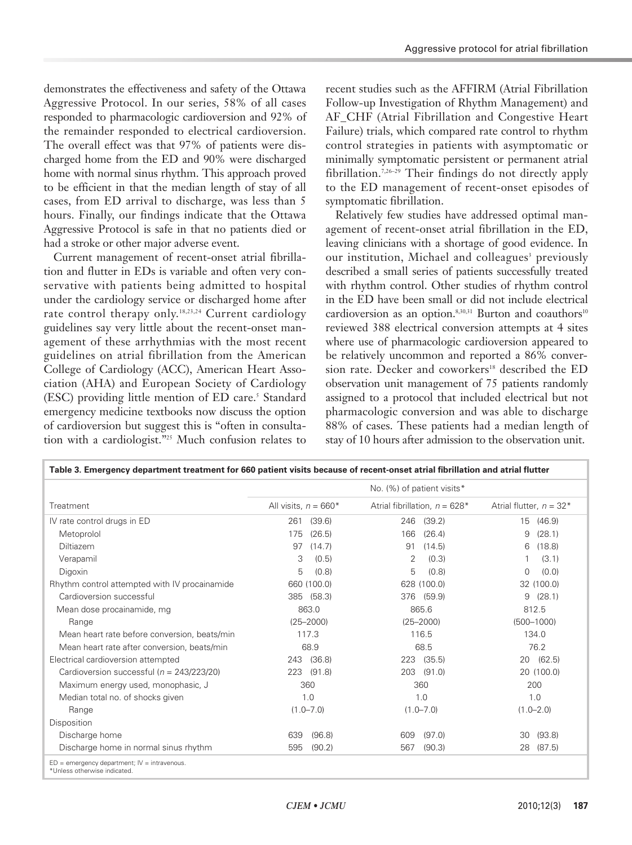demonstrates the effectiveness and safety of the Ottawa Aggressive Protocol. In our series, 58% of all cases responded to pharmacologic cardioversion and 92% of the remainder responded to electrical cardioversion. The overall effect was that 97% of patients were discharged home from the ED and 90% were discharged home with normal sinus rhythm. This approach proved to be efficient in that the median length of stay of all cases, from ED arrival to discharge, was less than 5 hours. Finally, our findings indicate that the Ottawa Aggressive Protocol is safe in that no patients died or had a stroke or other major adverse event.

Current management of recent-onset atrial fibrillation and flutter in EDs is variable and often very conservative with patients being admitted to hospital under the cardiology service or discharged home after rate control therapy only. 18,23,24 Current cardiology guidelines say very little about the recent-onset management of these arrhythmias with the most recent guidelines on atrial fibrillation from the American College of Cardiology (ACC), American Heart Association (AHA) and European Society of Cardiology (ESC) providing little mention of ED care. <sup>5</sup> Standard emergency medicine textbooks now discuss the option of cardioversion but suggest this is "often in consultation with a cardiologist."25 Much confusion relates to recent studies such as the AFFIRM (Atrial Fibrillation Follow-up Investigation of Rhythm Management) and AF\_CHF (Atrial Fibrillation and Congestive Heart Failure) trials, which compared rate control to rhythm control strategies in patients with asymptomatic or minimally symptomatic persistent or permanent atrial fibrillation. 7,26–29 Their findings do not directly apply to the ED management of recent-onset episodes of symptomatic fibrillation.

Relatively few studies have addressed optimal management of recent-onset atrial fibrillation in the ED, leaving clinicians with a shortage of good evidence. In our institution, Michael and colleagues<sup>3</sup> previously described a small series of patients successfully treated with rhythm control. Other studies of rhythm control in the ED have been small or did not include electrical cardioversion as an option.<sup>8,30,31</sup> Burton and coauthors<sup>10</sup> reviewed 388 electrical conversion attempts at 4 sites where use of pharmacologic cardioversion appeared to be relatively uncommon and reported a 86% conversion rate. Decker and coworkers<sup>18</sup> described the ED observation unit management of 75 patients randomly assigned to a protocol that included electrical but not pharmacologic conversion and was able to discharge 88% of cases. These patients had a median length of stay of 10 hours after admission to the observation unit.

| Table 3. Emergency department treatment for 660 patient visits because of recent-onset atrial fibrillation and atrial flutter |                            |                                 |                           |  |
|-------------------------------------------------------------------------------------------------------------------------------|----------------------------|---------------------------------|---------------------------|--|
|                                                                                                                               | No. (%) of patient visits* |                                 |                           |  |
| Treatment                                                                                                                     | All visits, $n = 660*$     | Atrial fibrillation, $n = 628*$ | Atrial flutter, $n = 32*$ |  |
| IV rate control drugs in ED                                                                                                   | (39.6)<br>261              | (39.2)<br>246                   | (46.9)<br>15              |  |
| Metoprolol                                                                                                                    | 175<br>(26.5)              | 166<br>(26.4)                   | (28.1)<br>9               |  |
| Diltiazem                                                                                                                     | (14.7)<br>97               | 91<br>(14.5)                    | (18.8)<br>6               |  |
| Verapamil                                                                                                                     | 3<br>(0.5)                 | (0.3)<br>2                      | (3.1)                     |  |
| Digoxin                                                                                                                       | (0.8)<br>5                 | 5<br>(0.8)                      | (0.0)<br>0                |  |
| Rhythm control attempted with IV procainamide                                                                                 | 660 (100.0)                | 628 (100.0)                     | 32 (100.0)                |  |
| Cardioversion successful                                                                                                      | (58.3)<br>385              | 376 (59.9)                      | (28.1)<br>9               |  |
| Mean dose procainamide, mg                                                                                                    | 863.0                      | 865.6                           | 812.5                     |  |
| Range                                                                                                                         | $(25 - 2000)$              | $(25 - 2000)$                   | $(500 - 1000)$            |  |
| Mean heart rate before conversion, beats/min                                                                                  | 117.3                      | 116.5                           | 134.0                     |  |
| Mean heart rate after conversion, beats/min                                                                                   | 68.9                       | 68.5                            | 76.2                      |  |
| Electrical cardioversion attempted                                                                                            | (36.8)<br>243              | (35.5)<br>223                   | 20 (62.5)                 |  |
| Cardioversion successful ( $n = 243/223/20$ )                                                                                 | (91.8)<br>223              | 203 (91.0)                      | 20 (100.0)                |  |
| Maximum energy used, monophasic, J                                                                                            | 360                        | 360                             | 200                       |  |
| Median total no. of shocks given                                                                                              | 1.0                        | 1.0                             | 1.0                       |  |
| Range                                                                                                                         | $(1.0 - 7.0)$              | $(1.0 - 7.0)$                   | $(1.0 - 2.0)$             |  |
| Disposition                                                                                                                   |                            |                                 |                           |  |
| Discharge home                                                                                                                | (96.8)<br>639              | (97.0)<br>609                   | (93.8)<br>30              |  |
| Discharge home in normal sinus rhythm                                                                                         | (90.2)<br>595              | (90.3)<br>567                   | (87.5)<br>28              |  |
| $ED = emergency department$ ; $IV = intravenous$ .<br>المستقصد المسارسية وسأعتبض والمستحدث والمراراة                          |                            |                                 |                           |  |

\*Unless otherwise indicated.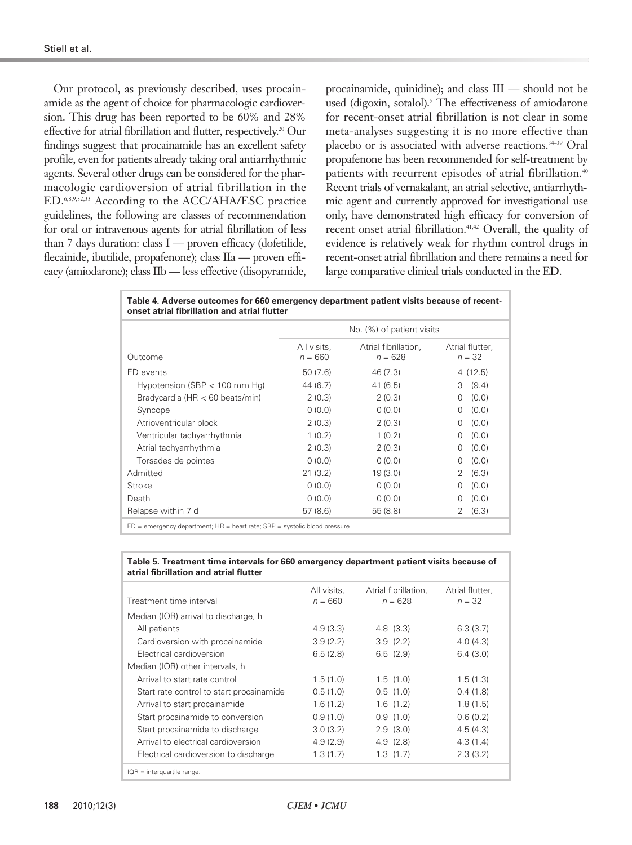Our protocol, as previously described, uses procainamide as the agent of choice for pharmacologic cardioversion. This drug has been reported to be 60% and 28% effective for atrial fibrillation and flutter, respectively. <sup>20</sup> Our findings suggest that procainamide has an excellent safety profile, even for patients already taking oral antiarrhythmic agents. Several other drugs can be considered for the pharmacologic cardioversion of atrial fibrillation in the ED. 6,8,9,32,33 According to the ACC/AHA/ESC practice guidelines, the following are classes of recommendation for oral or intravenous agents for atrial fibrillation of less than 7 days duration: class I — proven efficacy (dofetilide, flecainide, ibutilide, propafenone); class IIa — proven efficacy (amiodarone); class IIb — less effective (disopyramide, procainamide, quinidine); and class III — should not be used (digoxin, sotalol). <sup>5</sup> The effectiveness of amiodarone for recent-onset atrial fibrillation is not clear in some meta-analyses suggesting it is no more effective than placebo or is associated with adverse reactions. 34–39 Oral propafenone has been recommended for self-treatment by patients with recurrent episodes of atrial fibrillation. 40 Recent trials of vernakalant, an atrial selective, antiarrhythmic agent and currently approved for investigational use only, have demonstrated high efficacy for conversion of recent onset atrial fibrillation. 41,42 Overall, the quality of evidence is relatively weak for rhythm control drugs in recent-onset atrial fibrillation and there remains a need for large comparative clinical trials conducted in the ED.

| Outcome                         | No. (%) of patient visits |                                   |                             |
|---------------------------------|---------------------------|-----------------------------------|-----------------------------|
|                                 | All visits,<br>$n = 660$  | Atrial fibrillation,<br>$n = 628$ | Atrial flutter,<br>$n = 32$ |
| ED events                       | 50 (7.6)                  | 46 (7.3)                          | 4 (12.5)                    |
| Hypotension (SBP $<$ 100 mm Hg) | 44(6.7)                   | 41(6.5)                           | (9.4)<br>3                  |
| Bradycardia (HR < 60 beats/min) | 2(0.3)                    | 2(0.3)                            | (0.0)<br>0                  |
| Syncope                         | 0(0.0)                    | 0(0.0)                            | (0.0)<br>0                  |
| Atrioventricular block          | 2(0.3)                    | 2(0.3)                            | (0.0)<br>$\Omega$           |
| Ventricular tachyarrhythmia     | 1(0.2)                    | 1(0.2)                            | (0.0)<br>0                  |
| Atrial tachyarrhythmia          | 2(0.3)                    | 2(0.3)                            | (0.0)<br>$\Omega$           |
| Torsades de pointes             | 0(0.0)                    | 0(0.0)                            | (0.0)<br>$\Omega$           |
| Admitted                        | 21(3.2)                   | 19(3.0)                           | (6.3)<br>2                  |
| Stroke                          | 0(0.0)                    | 0(0.0)                            | (0.0)<br>0                  |
| Death                           | 0(0.0)                    | 0(0.0)                            | (0.0)                       |
| Relapse within 7 d              | 57 (8.6)                  | 55 (8.8)                          | (6.3)<br>2                  |

 $emergency$  department;  $HR$  = heart rate;  $SBP$  = systolic blood pressure.

#### **Table 5. Treatment time intervals for 660 emergency department patient visits because of atrial fibrillation and atrial flutter**

| Treatment time interval                  | All visits,<br>$n = 660$ | Atrial fibrillation,<br>$n = 628$ | Atrial flutter,<br>$n = 32$ |
|------------------------------------------|--------------------------|-----------------------------------|-----------------------------|
| Median (IQR) arrival to discharge, h     |                          |                                   |                             |
| All patients                             | 4.9(3.3)                 | $4.8$ $(3.3)$                     | 6.3(3.7)                    |
| Cardioversion with procainamide          | 3.9(2.2)                 | 3.9(2.2)                          | 4.0(4.3)                    |
| Electrical cardioversion                 | 6.5(2.8)                 | 6.5(2.9)                          | 6.4(3.0)                    |
| Median (IQR) other intervals, h          |                          |                                   |                             |
| Arrival to start rate control            | 1.5(1.0)                 | 1.5(1.0)                          | 1.5(1.3)                    |
| Start rate control to start procainamide | 0.5(1.0)                 | 0.5(1.0)                          | 0.4(1.8)                    |
| Arrival to start procainamide            | 1.6(1.2)                 | 1.6(1.2)                          | 1.8(1.5)                    |
| Start procainamide to conversion         | 0.9(1.0)                 | 0.9(1.0)                          | 0.6(0.2)                    |
| Start procainamide to discharge          | 3.0(3.2)                 | 2.9(3.0)                          | 4.5(4.3)                    |
| Arrival to electrical cardioversion      | 4.9(2.9)                 | 4.9(2.8)                          | 4.3(1.4)                    |
| Electrical cardioversion to discharge    | 1.3(1.7)                 | 1.3(1.7)                          | 2.3(3.2)                    |
| $IQR = interquartile range.$             |                          |                                   |                             |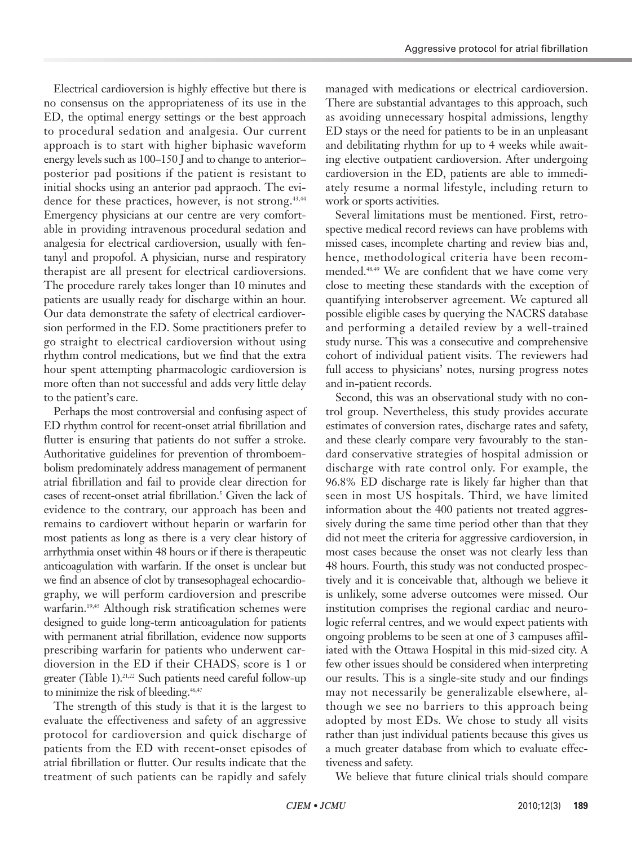Electrical cardioversion is highly effective but there is no consensus on the appropriateness of its use in the ED, the optimal energy settings or the best approach to procedural sedation and analgesia. Our current approach is to start with higher biphasic waveform energy levels such as 100–150 J and to change to anterior– posterior pad positions if the patient is resistant to initial shocks using an anterior pad appraoch. The evidence for these practices, however, is not strong.<sup>43,44</sup> Emergency physicians at our centre are very comfortable in providing intravenous procedural sedation and analgesia for electrical cardioversion, usually with fentanyl and propofol. A physician, nurse and respiratory therapist are all present for electrical cardioversions. The procedure rarely takes longer than 10 minutes and patients are usually ready for discharge within an hour. Our data demonstrate the safety of electrical cardioversion performed in the ED. Some practitioners prefer to go straight to electrical cardioversion without using rhythm control medications, but we find that the extra hour spent attempting pharmacologic cardioversion is more often than not successful and adds very little delay to the patient's care.

Perhaps the most controversial and confusing aspect of ED rhythm control for recent-onset atrial fibrillation and flutter is ensuring that patients do not suffer a stroke. Authoritative guidelines for prevention of thromboembolism predominately address management of permanent atrial fibrillation and fail to provide clear direction for cases of recent-onset atrial fibrillation. <sup>5</sup> Given the lack of evidence to the contrary, our approach has been and remains to cardiovert without heparin or warfarin for most patients as long as there is a very clear history of arrhythmia onset within 48 hours or if there is therapeutic anticoagulation with warfarin. If the onset is unclear but we find an absence of clot by transesophageal echocardiography, we will perform cardioversion and prescribe warfarin. 19,45 Although risk stratification schemes were designed to guide long-term anticoagulation for patients with permanent atrial fibrillation, evidence now supports prescribing warfarin for patients who underwent cardioversion in the ED if their  $\text{CHADS}_2$  score is 1 or greater (Table 1). 21,22 Such patients need careful follow-up to minimize the risk of bleeding. 46,47

The strength of this study is that it is the largest to evaluate the effectiveness and safety of an aggressive protocol for cardioversion and quick discharge of patients from the ED with recent-onset episodes of atrial fibrillation or flutter. Our results indicate that the treatment of such patients can be rapidly and safely managed with medications or electrical cardioversion. There are substantial advantages to this approach, such as avoiding unnecessary hospital admissions, lengthy ED stays or the need for patients to be in an unpleasant and debilitating rhythm for up to 4 weeks while awaiting elective outpatient cardioversion. After undergoing cardioversion in the ED, patients are able to immediately resume a normal lifestyle, including return to work or sports activities.

Several limitations must be mentioned. First, retrospective medical record reviews can have problems with missed cases, incomplete charting and review bias and, hence, methodological criteria have been recommended. 48,49 We are confident that we have come very close to meeting these standards with the exception of quantifying interobserver agreement. We captured all possible eligible cases by querying the NACRS database and performing a detailed review by a well-trained study nurse. This was a consecutive and comprehensive cohort of individual patient visits. The reviewers had full access to physicians' notes, nursing progress notes and in-patient records.

Second, this was an observational study with no control group. Nevertheless, this study provides accurate estimates of conversion rates, discharge rates and safety, and these clearly compare very favourably to the standard conservative strategies of hospital admission or discharge with rate control only. For example, the 96.8% ED discharge rate is likely far higher than that seen in most US hospitals. Third, we have limited information about the 400 patients not treated aggressively during the same time period other than that they did not meet the criteria for aggressive cardioversion, in most cases because the onset was not clearly less than 48 hours. Fourth, this study was not conducted prospectively and it is conceivable that, although we believe it is unlikely, some adverse outcomes were missed. Our institution comprises the regional cardiac and neurologic referral centres, and we would expect patients with ongoing problems to be seen at one of 3 campuses affiliated with the Ottawa Hospital in this mid-sized city. A few other issues should be considered when interpreting our results. This is a single-site study and our findings may not necessarily be generalizable elsewhere, although we see no barriers to this approach being adopted by most EDs. We chose to study all visits rather than just individual patients because this gives us a much greater database from which to evaluate effectiveness and safety.

We believe that future clinical trials should compare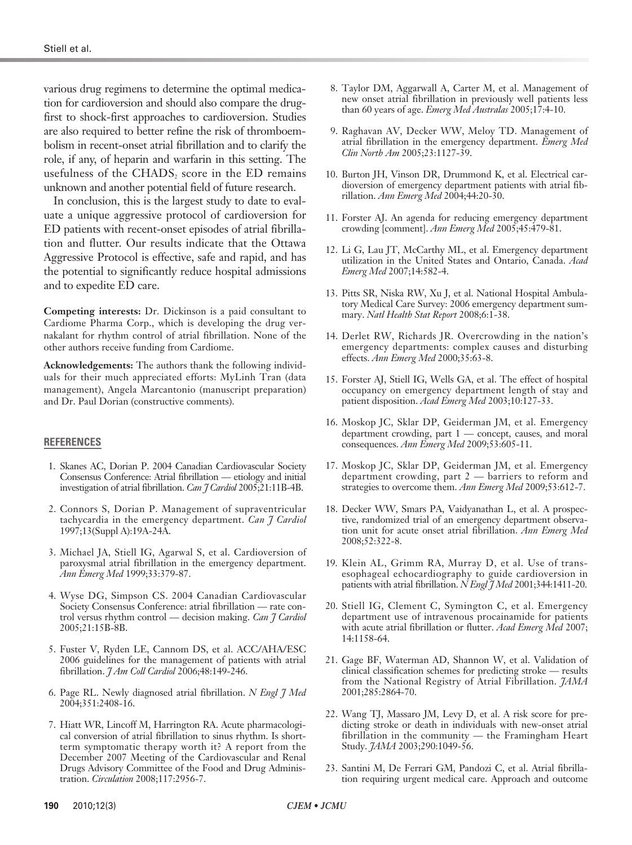various drug regimens to determine the optimal medication for cardioversion and should also compare the drugfirst to shock-first approaches to cardioversion. Studies are also required to better refine the risk of thromboembolism in recent-onset atrial fibrillation and to clarify the role, if any, of heparin and warfarin in this setting. The usefulness of the CHADS, score in the ED remains unknown and another potential field of future research.

In conclusion, this is the largest study to date to evaluate a unique aggressive protocol of cardioversion for ED patients with recent-onset episodes of atrial fibrillation and flutter. Our results indicate that the Ottawa Aggressive Protocol is effective, safe and rapid, and has the potential to significantly reduce hospital admissions and to expedite ED care.

**Competing interests:** Dr. Dickinson is a paid consultant to Cardiome Pharma Corp., which is developing the drug vernakalant for rhythm control of atrial fibrillation. None of the other authors receive funding from Cardiome.

**Acknowledgements:** The authors thank the following individuals for their much appreciated efforts: MyLinh Tran (data management), Angela Marcantonio (manuscript preparation) and Dr. Paul Dorian (constructive comments).

#### **REFERENCES**

- 1. Skanes AC, Dorian P. 2004 Canadian Cardiovascular Society Consensus Conference: Atrial fibrillation — etiology and initial investigation of atrial fibrillation. *Can J Cardiol* 2005;21:11B-4B.
- 2. Connors S, Dorian P. Management of supraventricular tachycardia in the emergency department. *Can J Cardiol* 1997;13(Suppl A):19A-24A.
- 3. Michael JA, Stiell IG, Agarwal S, et al. Cardioversion of paroxysmal atrial fibrillation in the emergency department. *Ann Emerg Med* 1999;33:379-87.
- 4. Wyse DG, Simpson CS. 2004 Canadian Cardiovascular Society Consensus Conference: atrial fibrillation — rate control versus rhythm control — decision making. *Can J Cardiol* 2005;21:15B-8B.
- 5. Fuster V, Ryden LE, Cannom DS, et al. ACC/AHA/ESC 2006 guidelines for the management of patients with atrial fibrillation. *J Am Coll Cardiol* 2006;48:149-246.
- 6. Page RL. Newly diagnosed atrial fibrillation. *N Engl J Med* 2004;351:2408-16.
- 7. Hiatt WR, Lincoff M, Harrington RA. Acute pharmacological conversion of atrial fibrillation to sinus rhythm. Is shortterm symptomatic therapy worth it? A report from the December 2007 Meeting of the Cardiovascular and Renal Drugs Advisory Committee of the Food and Drug Administration. *Circulation* 2008;117:2956-7.
- 8. Taylor DM, Aggarwall A, Carter M, et al. Management of new onset atrial fibrillation in previously well patients less than 60 years of age. *Emerg Med Australas* 2005;17:4-10.
- 9. Raghavan AV, Decker WW, Meloy TD. Management of atrial fibrillation in the emergency department. *Emerg Med Clin North Am* 2005;23:1127-39.
- 10. Burton JH, Vinson DR, Drummond K, et al. Electrical cardioversion of emergency department patients with atrial fibrillation. *Ann Emerg Med* 2004;44:20-30.
- 11. Forster AJ. An agenda for reducing emergency department crowding [comment]. *Ann Emerg Med* 2005;45:479-81.
- 12. Li G, Lau JT, McCarthy ML, et al. Emergency department utilization in the United States and Ontario, Canada. *Acad Emerg Med* 2007;14:582-4.
- 13. Pitts SR, Niska RW, Xu J, et al. National Hospital Ambulatory Medical Care Survey: 2006 emergency department summary. *Natl Health Stat Report* 2008;6:1-38.
- 14. Derlet RW, Richards JR. Overcrowding in the nation's emergency departments: complex causes and disturbing effects. *Ann Emerg Med* 2000;35:63-8.
- 15. Forster AJ, Stiell IG, Wells GA, et al. The effect of hospital occupancy on emergency department length of stay and patient disposition. *Acad Emerg Med* 2003;10:127-33.
- 16. Moskop JC, Sklar DP, Geiderman JM, et al. Emergency department crowding, part 1 — concept, causes, and moral consequences. *Ann Emerg Med* 2009;53:605-11.
- 17. Moskop JC, Sklar DP, Geiderman JM, et al. Emergency department crowding, part 2 — barriers to reform and strategies to overcome them. *Ann Emerg Med* 2009;53:612-7.
- 18. Decker WW, Smars PA, Vaidyanathan L, et al. A prospective, randomized trial of an emergency department observation unit for acute onset atrial fibrillation. *Ann Emerg Med* 2008;52:322-8.
- 19. Klein AL, Grimm RA, Murray D, et al. Use of transesophageal echocardiography to guide cardioversion in patients with atrial fibrillation. *N Engl J Med* 2001;344:1411-20.
- 20. Stiell IG, Clement C, Symington C, et al. Emergency department use of intravenous procainamide for patients with acute atrial fibrillation or flutter. *Acad Emerg Med* 2007; 14:1158-64.
- 21. Gage BF, Waterman AD, Shannon W, et al. Validation of clinical classification schemes for predicting stroke — results from the National Registry of Atrial Fibrillation. *JAMA* 2001;285:2864-70.
- 22. Wang TJ, Massaro JM, Levy D, et al. A risk score for predicting stroke or death in individuals with new-onset atrial fibrillation in the community — the Framingham Heart Study. *JAMA* 2003;290:1049-56.
- 23. Santini M, De Ferrari GM, Pandozi C, et al. Atrial fibrillation requiring urgent medical care. Approach and outcome